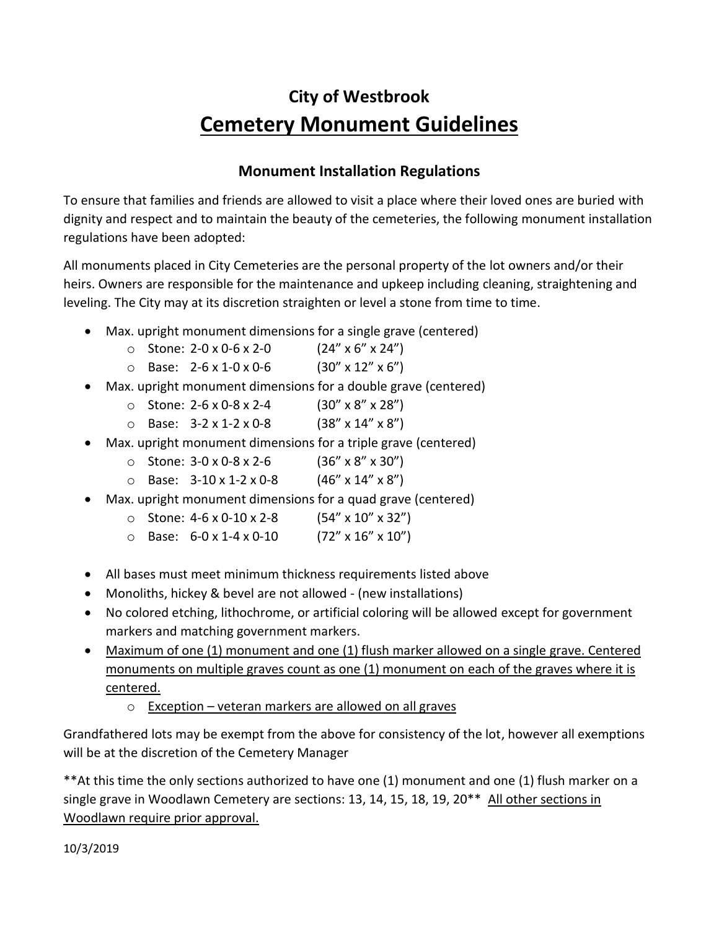## **City of Westbrook Cemetery Monument Guidelines**

## **Monument Installation Regulations**

To ensure that families and friends are allowed to visit a place where their loved ones are buried with dignity and respect and to maintain the beauty of the cemeteries, the following monument installation regulations have been adopted:

All monuments placed in City Cemeteries are the personal property of the lot owners and/or their heirs. Owners are responsible for the maintenance and upkeep including cleaning, straightening and leveling. The City may at its discretion straighten or level a stone from time to time.

- Max. upright monument dimensions for a single grave (centered)
	- $\circ$  Stone: 2-0 x 0-6 x 2-0 (24" x 6" x 24")
	- $\circ$  Base: 2-6 x 1-0 x 0-6 (30" x 12" x 6")
- Max. upright monument dimensions for a double grave (centered)
	- $\circ$  Stone: 2-6 x 0-8 x 2-4 (30" x 8" x 28")
	- $\circ$  Base: 3-2 x 1-2 x 0-8 (38" x 14" x 8")
- Max. upright monument dimensions for a triple grave (centered)
	- $\circ$  Stone: 3-0 x 0-8 x 2-6 (36" x 8" x 30")
	- $\circ$  Base: 3-10 x 1-2 x 0-8 (46" x 14" x 8")
- Max. upright monument dimensions for a quad grave (centered)
	- $\circ$  Stone: 4-6 x 0-10 x 2-8 (54" x 10" x 32")
	- $\circ$  Base: 6-0 x 1-4 x 0-10 (72" x 16" x 10")
- All bases must meet minimum thickness requirements listed above
- Monoliths, hickey & bevel are not allowed (new installations)
- No colored etching, lithochrome, or artificial coloring will be allowed except for government markers and matching government markers.
- Maximum of one (1) monument and one (1) flush marker allowed on a single grave. Centered monuments on multiple graves count as one (1) monument on each of the graves where it is centered.
	- o Exception veteran markers are allowed on all graves

Grandfathered lots may be exempt from the above for consistency of the lot, however all exemptions will be at the discretion of the Cemetery Manager

\*\*At this time the only sections authorized to have one (1) monument and one (1) flush marker on a single grave in Woodlawn Cemetery are sections: 13, 14, 15, 18, 19, 20<sup>\*\*</sup> All other sections in Woodlawn require prior approval.

10/3/2019